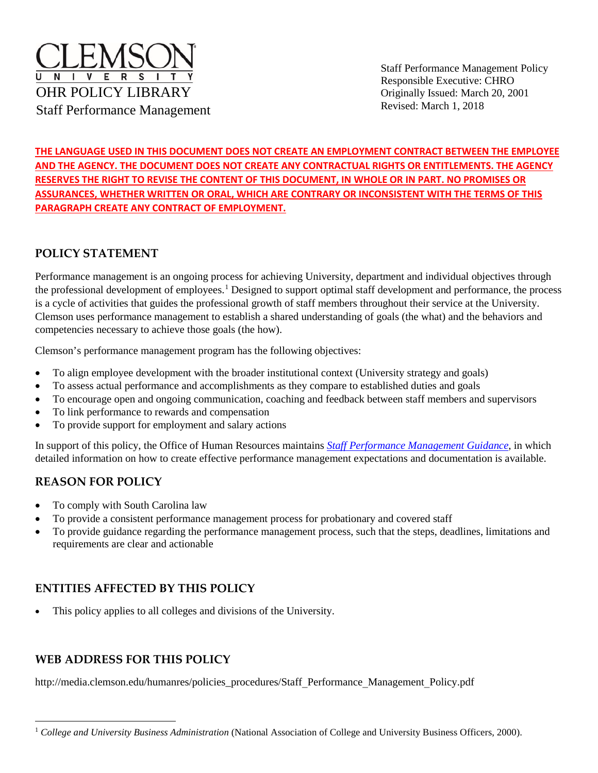

Staff Performance Management Policy Responsible Executive: CHRO Originally Issued: March 20, 2001 Revised: March 1, 2018

**THE LANGUAGE USED IN THIS DOCUMENT DOES NOT CREATE AN EMPLOYMENT CONTRACT BETWEEN THE EMPLOYEE AND THE AGENCY. THE DOCUMENT DOES NOT CREATE ANY CONTRACTUAL RIGHTS OR ENTITLEMENTS. THE AGENCY RESERVES THE RIGHT TO REVISE THE CONTENT OF THIS DOCUMENT, IN WHOLE OR IN PART. NO PROMISES OR ASSURANCES, WHETHER WRITTEN OR ORAL, WHICH ARE CONTRARY OR INCONSISTENT WITH THE TERMS OF THIS PARAGRAPH CREATE ANY CONTRACT OF EMPLOYMENT.**

# **POLICY STATEMENT**

Performance management is an ongoing process for achieving University, department and individual objectives through the professional development of employees.<sup>[1](#page-0-0)</sup> Designed to support optimal staff development and performance, the process is a cycle of activities that guides the professional growth of staff members throughout their service at the University. Clemson uses performance management to establish a shared understanding of goals (the what) and the behaviors and competencies necessary to achieve those goals (the how).

Clemson's performance management program has the following objectives:

- To align employee development with the broader institutional context (University strategy and goals)
- To assess actual performance and accomplishments as they compare to established duties and goals
- To encourage open and ongoing communication, coaching and feedback between staff members and supervisors
- To link performance to rewards and compensation
- To provide support for employment and salary actions

In support of this policy, the Office of Human Resources maintains *[Staff Performance Management Guidance](http://media.clemson.edu/humanres/policies_procedures/Staff%20Performance%20Management%20Guidance.pdf)*, in which detailed information on how to create effective performance management expectations and documentation is available.

# **REASON FOR POLICY**

- To comply with South Carolina law
- To provide a consistent performance management process for probationary and covered staff
- To provide guidance regarding the performance management process, such that the steps, deadlines, limitations and requirements are clear and actionable

# **ENTITIES AFFECTED BY THIS POLICY**

This policy applies to all colleges and divisions of the University.

# **WEB ADDRESS FOR THIS POLICY**

http://media.clemson.edu/humanres/policies\_procedures/Staff\_Performance\_Management\_Policy.pdf

<span id="page-0-0"></span><sup>&</sup>lt;sup>1</sup> College and University Business Administration (National Association of College and University Business Officers, 2000).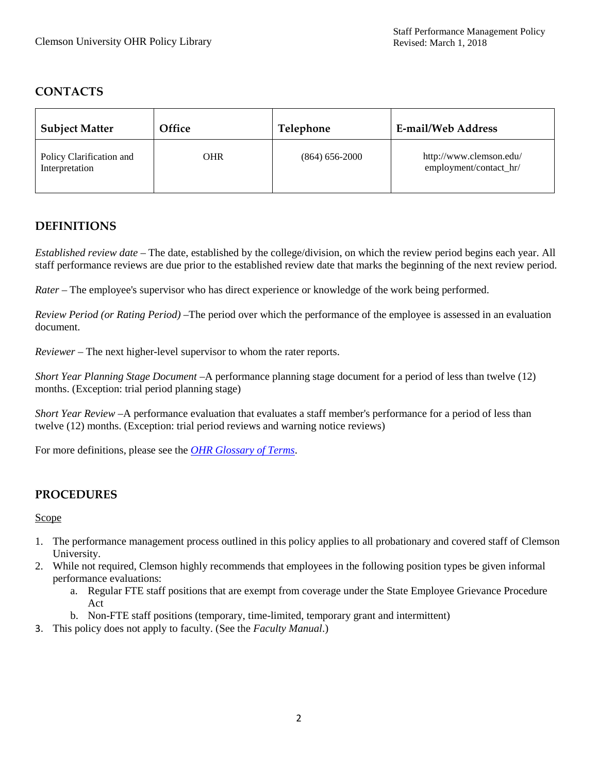# **CONTACTS**

| <b>Subject Matter</b>                      | Office | Telephone          | <b>E-mail/Web Address</b>                         |
|--------------------------------------------|--------|--------------------|---------------------------------------------------|
| Policy Clarification and<br>Interpretation | OHR    | $(864) 656 - 2000$ | http://www.clemson.edu/<br>employment/contact_hr/ |

# **DEFINITIONS**

*Established review date* – The date, established by the college/division, on which the review period begins each year. All staff performance reviews are due prior to the established review date that marks the beginning of the next review period.

*Rater* – The employee's supervisor who has direct experience or knowledge of the work being performed.

*Review Period (or Rating Period)* –The period over which the performance of the employee is assessed in an evaluation document.

*Reviewer* – The next higher-level supervisor to whom the rater reports.

*Short Year Planning Stage Document* –A performance planning stage document for a period of less than twelve (12) months. (Exception: trial period planning stage)

*Short Year Review* –A performance evaluation that evaluates a staff member's performance for a period of less than twelve (12) months. (Exception: trial period reviews and warning notice reviews)

For more definitions, please see the *[OHR Glossary of Terms](https://hr.app.clemson.edu/poly-proc/Glossary_of_Terms.pdf)*.

# **PROCEDURES**

**Scope** 

- 1. The performance management process outlined in this policy applies to all probationary and covered staff of Clemson University.
- 2. While not required, Clemson highly recommends that employees in the following position types be given informal performance evaluations:
	- a. Regular FTE staff positions that are exempt from coverage under the State Employee Grievance Procedure Act
	- b. Non-FTE staff positions (temporary, time-limited, temporary grant and intermittent)
- 3. This policy does not apply to faculty. (See the *Faculty Manual*.)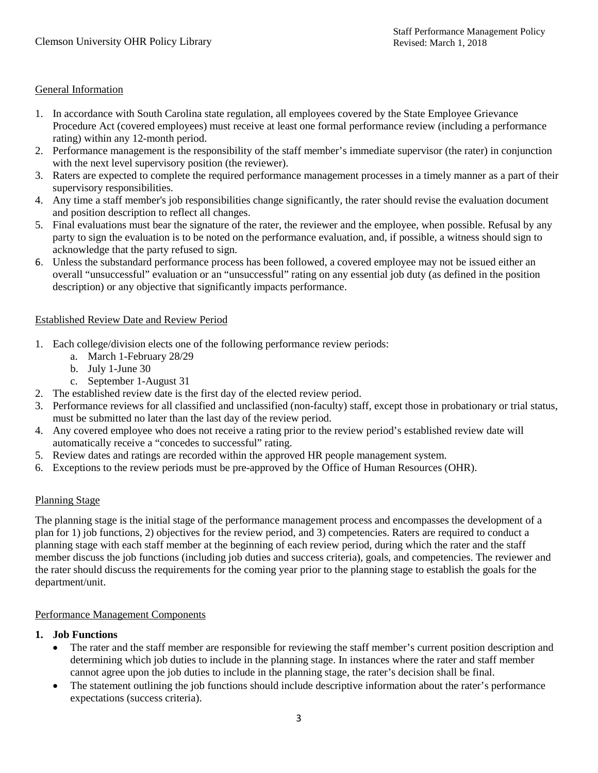### General Information

- 1. In accordance with South Carolina state regulation, all employees covered by the State Employee Grievance Procedure Act (covered employees) must receive at least one formal performance review (including a performance rating) within any 12-month period.
- 2. Performance management is the responsibility of the staff member's immediate supervisor (the rater) in conjunction with the next level supervisory position (the reviewer).
- 3. Raters are expected to complete the required performance management processes in a timely manner as a part of their supervisory responsibilities.
- 4. Any time a staff member's job responsibilities change significantly, the rater should revise the evaluation document and position description to reflect all changes.
- 5. Final evaluations must bear the signature of the rater, the reviewer and the employee, when possible. Refusal by any party to sign the evaluation is to be noted on the performance evaluation, and, if possible, a witness should sign to acknowledge that the party refused to sign.
- 6. Unless the substandard performance process has been followed, a covered employee may not be issued either an overall "unsuccessful" evaluation or an "unsuccessful" rating on any essential job duty (as defined in the position description) or any objective that significantly impacts performance.

### Established Review Date and Review Period

- 1. Each college/division elects one of the following performance review periods:
	- a. March 1-February 28/29
	- b. July 1-June 30
	- c. September 1-August 31
- 2. The established review date is the first day of the elected review period.
- 3. Performance reviews for all classified and unclassified (non-faculty) staff, except those in probationary or trial status, must be submitted no later than the last day of the review period.
- 4. Any covered employee who does not receive a rating prior to the review period's established review date will automatically receive a "concedes to successful" rating.
- 5. Review dates and ratings are recorded within the approved HR people management system.
- 6. Exceptions to the review periods must be pre-approved by the Office of Human Resources (OHR).

# Planning Stage

The planning stage is the initial stage of the performance management process and encompasses the development of a plan for 1) job functions, 2) objectives for the review period, and 3) competencies. Raters are required to conduct a planning stage with each staff member at the beginning of each review period, during which the rater and the staff member discuss the job functions (including job duties and success criteria), goals, and competencies. The reviewer and the rater should discuss the requirements for the coming year prior to the planning stage to establish the goals for the department/unit.

### Performance Management Components

### **1. Job Functions**

- The rater and the staff member are responsible for reviewing the staff member's current position description and determining which job duties to include in the planning stage. In instances where the rater and staff member cannot agree upon the job duties to include in the planning stage, the rater's decision shall be final.
- The statement outlining the job functions should include descriptive information about the rater's performance expectations (success criteria).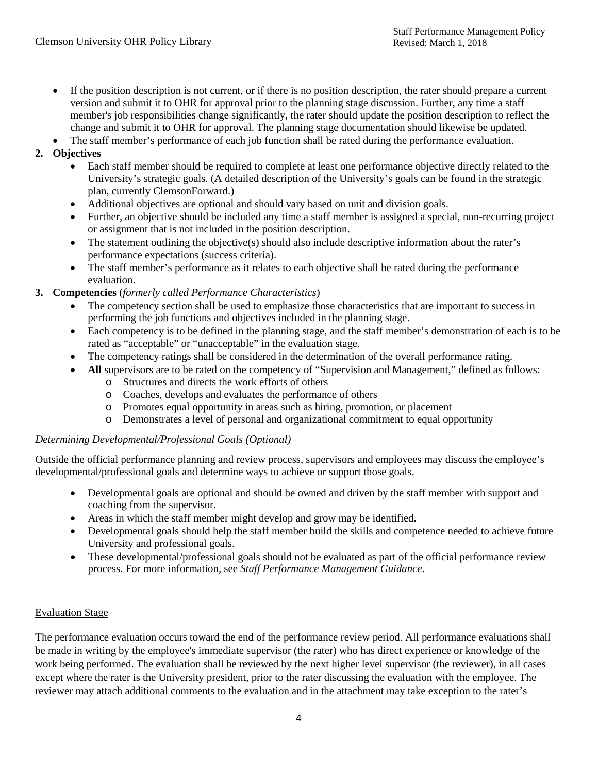- If the position description is not current, or if there is no position description, the rater should prepare a current version and submit it to OHR for approval prior to the planning stage discussion. Further, any time a staff member's job responsibilities change significantly, the rater should update the position description to reflect the change and submit it to OHR for approval. The planning stage documentation should likewise be updated.
- The staff member's performance of each job function shall be rated during the performance evaluation.

# **2. Objectives**

- Each staff member should be required to complete at least one performance objective directly related to the University's strategic goals. (A detailed description of the University's goals can be found in the strategic plan, currently ClemsonForward.)
- Additional objectives are optional and should vary based on unit and division goals.
- Further, an objective should be included any time a staff member is assigned a special, non-recurring project or assignment that is not included in the position description.
- The statement outlining the objective(s) should also include descriptive information about the rater's performance expectations (success criteria).
- The staff member's performance as it relates to each objective shall be rated during the performance evaluation.
- **3. Competencies** (*formerly called Performance Characteristics*)
	- The competency section shall be used to emphasize those characteristics that are important to success in performing the job functions and objectives included in the planning stage.
	- Each competency is to be defined in the planning stage, and the staff member's demonstration of each is to be rated as "acceptable" or "unacceptable" in the evaluation stage.
	- The competency ratings shall be considered in the determination of the overall performance rating.
	- All supervisors are to be rated on the competency of "Supervision and Management," defined as follows:
		- o Structures and directs the work efforts of others
		- o Coaches, develops and evaluates the performance of others
		- o Promotes equal opportunity in areas such as hiring, promotion, or placement
		- o Demonstrates a level of personal and organizational commitment to equal opportunity

#### *Determining Developmental/Professional Goals (Optional)*

Outside the official performance planning and review process, supervisors and employees may discuss the employee's developmental/professional goals and determine ways to achieve or support those goals.

- Developmental goals are optional and should be owned and driven by the staff member with support and coaching from the supervisor.
- Areas in which the staff member might develop and grow may be identified.
- Developmental goals should help the staff member build the skills and competence needed to achieve future University and professional goals.
- These developmental/professional goals should not be evaluated as part of the official performance review process. For more information, see *Staff Performance Management Guidance*.

#### Evaluation Stage

The performance evaluation occurs toward the end of the performance review period. All performance evaluations shall be made in writing by the employee's immediate supervisor (the rater) who has direct experience or knowledge of the work being performed. The evaluation shall be reviewed by the next higher level supervisor (the reviewer), in all cases except where the rater is the University president, prior to the rater discussing the evaluation with the employee. The reviewer may attach additional comments to the evaluation and in the attachment may take exception to the rater's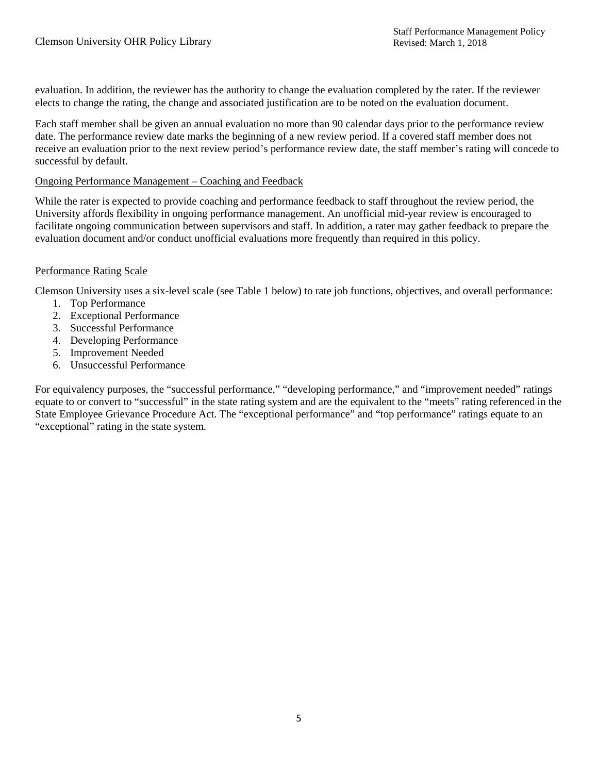evaluation. In addition, the reviewer has the authority to change the evaluation completed by the rater. If the reviewer elects to change the rating, the change and associated justification are to be noted on the evaluation document.

Each staff member shall be given an annual evaluation no more than 90 calendar days prior to the performance review date. The performance review date marks the beginning of a new review period. If a covered staff member does not receive an evaluation prior to the next review period's performance review date, the staff member's rating will concede to successful by default.

#### Ongoing Performance Management – Coaching and Feedback

While the rater is expected to provide coaching and performance feedback to staff throughout the review period, the University affords flexibility in ongoing performance management. An unofficial mid-year review is encouraged to facilitate ongoing communication between supervisors and staff. In addition, a rater may gather feedback to prepare the evaluation document and/or conduct unofficial evaluations more frequently than required in this policy.

#### Performance Rating Scale

Clemson University uses a six-level scale (see Table 1 below) to rate job functions, objectives, and overall performance:

- 1. Top Performance
- 2. Exceptional Performance
- 3. Successful Performance
- 4. Developing Performance
- 5. Improvement Needed
- 6. Unsuccessful Performance

For equivalency purposes, the "successful performance," "developing performance," and "improvement needed" ratings equate to or convert to "successful" in the state rating system and are the equivalent to the "meets" rating referenced in the State Employee Grievance Procedure Act. The "exceptional performance" and "top performance" ratings equate to an "exceptional" rating in the state system.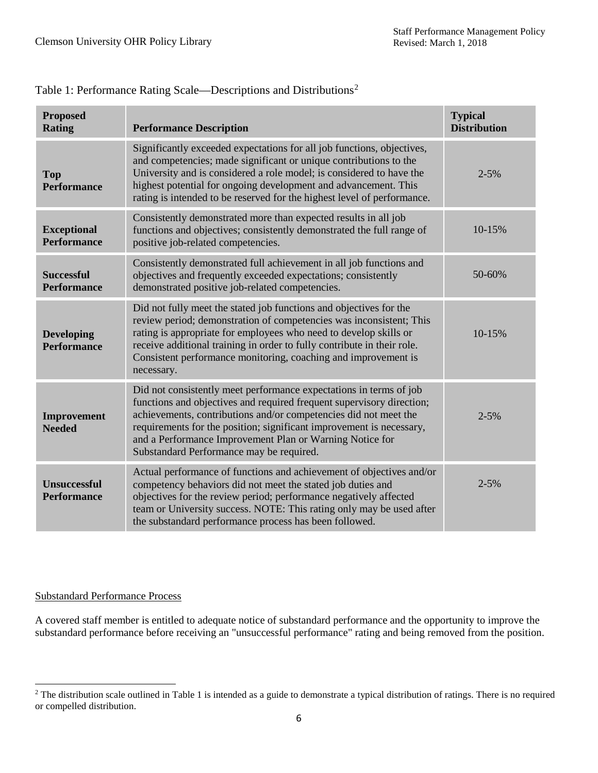| <b>Proposed</b><br><b>Rating</b>          | <b>Performance Description</b>                                                                                                                                                                                                                                                                                                                                                                  | <b>Typical</b><br><b>Distribution</b> |
|-------------------------------------------|-------------------------------------------------------------------------------------------------------------------------------------------------------------------------------------------------------------------------------------------------------------------------------------------------------------------------------------------------------------------------------------------------|---------------------------------------|
| <b>Top</b><br><b>Performance</b>          | Significantly exceeded expectations for all job functions, objectives,<br>and competencies; made significant or unique contributions to the<br>University and is considered a role model; is considered to have the<br>highest potential for ongoing development and advancement. This<br>rating is intended to be reserved for the highest level of performance.                               | $2 - 5%$                              |
| <b>Exceptional</b><br><b>Performance</b>  | Consistently demonstrated more than expected results in all job<br>functions and objectives; consistently demonstrated the full range of<br>positive job-related competencies.                                                                                                                                                                                                                  | 10-15%                                |
| <b>Successful</b><br><b>Performance</b>   | Consistently demonstrated full achievement in all job functions and<br>objectives and frequently exceeded expectations; consistently<br>demonstrated positive job-related competencies.                                                                                                                                                                                                         | 50-60%                                |
| <b>Developing</b><br><b>Performance</b>   | Did not fully meet the stated job functions and objectives for the<br>review period; demonstration of competencies was inconsistent; This<br>rating is appropriate for employees who need to develop skills or<br>receive additional training in order to fully contribute in their role.<br>Consistent performance monitoring, coaching and improvement is<br>necessary.                       | 10-15%                                |
| Improvement<br><b>Needed</b>              | Did not consistently meet performance expectations in terms of job<br>functions and objectives and required frequent supervisory direction;<br>achievements, contributions and/or competencies did not meet the<br>requirements for the position; significant improvement is necessary,<br>and a Performance Improvement Plan or Warning Notice for<br>Substandard Performance may be required. | $2 - 5%$                              |
| <b>Unsuccessful</b><br><b>Performance</b> | Actual performance of functions and achievement of objectives and/or<br>competency behaviors did not meet the stated job duties and<br>objectives for the review period; performance negatively affected<br>team or University success. NOTE: This rating only may be used after<br>the substandard performance process has been followed.                                                      | $2 - 5\%$                             |

# Table 1: Performance Rating Scale—Descriptions and Distributions[2](#page-5-0)

### Substandard Performance Process

l

A covered staff member is entitled to adequate notice of substandard performance and the opportunity to improve the substandard performance before receiving an "unsuccessful performance" rating and being removed from the position.

<span id="page-5-0"></span><sup>&</sup>lt;sup>2</sup> The distribution scale outlined in Table 1 is intended as a guide to demonstrate a typical distribution of ratings. There is no required or compelled distribution.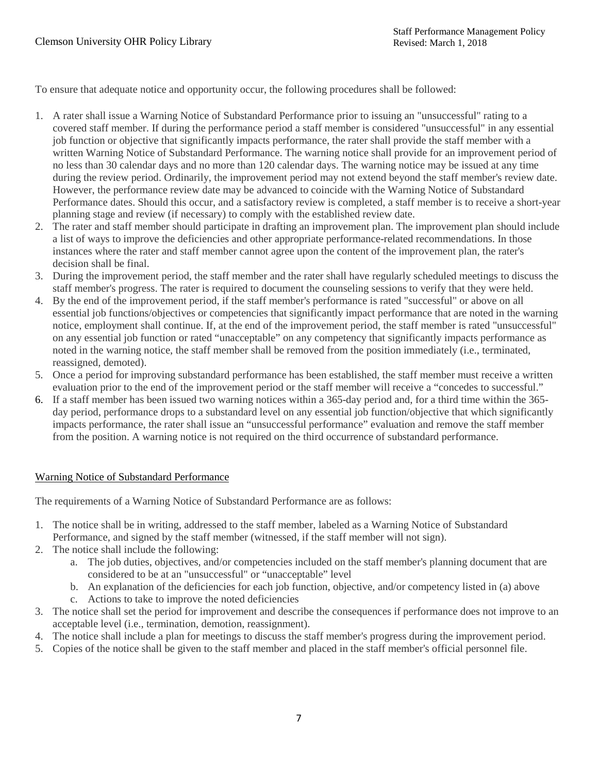To ensure that adequate notice and opportunity occur, the following procedures shall be followed:

- 1. A rater shall issue a Warning Notice of Substandard Performance prior to issuing an "unsuccessful" rating to a covered staff member. If during the performance period a staff member is considered "unsuccessful" in any essential job function or objective that significantly impacts performance, the rater shall provide the staff member with a written Warning Notice of Substandard Performance. The warning notice shall provide for an improvement period of no less than 30 calendar days and no more than 120 calendar days. The warning notice may be issued at any time during the review period. Ordinarily, the improvement period may not extend beyond the staff member's review date. However, the performance review date may be advanced to coincide with the Warning Notice of Substandard Performance dates. Should this occur, and a satisfactory review is completed, a staff member is to receive a short-year planning stage and review (if necessary) to comply with the established review date.
- 2. The rater and staff member should participate in drafting an improvement plan. The improvement plan should include a list of ways to improve the deficiencies and other appropriate performance-related recommendations. In those instances where the rater and staff member cannot agree upon the content of the improvement plan, the rater's decision shall be final.
- 3. During the improvement period, the staff member and the rater shall have regularly scheduled meetings to discuss the staff member's progress. The rater is required to document the counseling sessions to verify that they were held.
- 4. By the end of the improvement period, if the staff member's performance is rated "successful" or above on all essential job functions/objectives or competencies that significantly impact performance that are noted in the warning notice, employment shall continue. If, at the end of the improvement period, the staff member is rated "unsuccessful" on any essential job function or rated "unacceptable" on any competency that significantly impacts performance as noted in the warning notice, the staff member shall be removed from the position immediately (i.e., terminated, reassigned, demoted).
- 5. Once a period for improving substandard performance has been established, the staff member must receive a written evaluation prior to the end of the improvement period or the staff member will receive a "concedes to successful."
- 6. If a staff member has been issued two warning notices within a 365-day period and, for a third time within the 365 day period, performance drops to a substandard level on any essential job function/objective that which significantly impacts performance, the rater shall issue an "unsuccessful performance" evaluation and remove the staff member from the position. A warning notice is not required on the third occurrence of substandard performance.

### Warning Notice of Substandard Performance

The requirements of a Warning Notice of Substandard Performance are as follows:

- 1. The notice shall be in writing, addressed to the staff member, labeled as a Warning Notice of Substandard Performance, and signed by the staff member (witnessed, if the staff member will not sign).
- 2. The notice shall include the following:
	- a. The job duties, objectives, and/or competencies included on the staff member's planning document that are considered to be at an "unsuccessful" or "unacceptable" level
	- b. An explanation of the deficiencies for each job function, objective, and/or competency listed in (a) above
	- c. Actions to take to improve the noted deficiencies
- 3. The notice shall set the period for improvement and describe the consequences if performance does not improve to an acceptable level (i.e., termination, demotion, reassignment).
- 4. The notice shall include a plan for meetings to discuss the staff member's progress during the improvement period.
- 5. Copies of the notice shall be given to the staff member and placed in the staff member's official personnel file.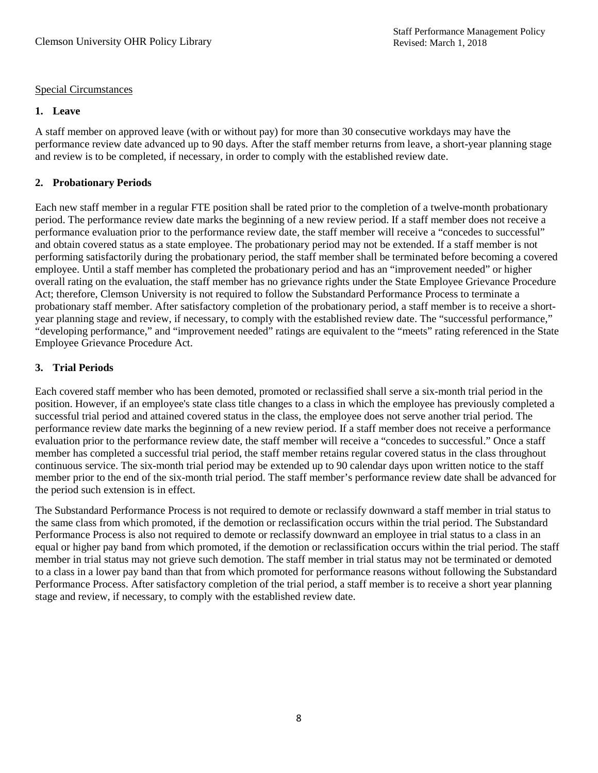### Special Circumstances

#### **1. Leave**

A staff member on approved leave (with or without pay) for more than 30 consecutive workdays may have the performance review date advanced up to 90 days. After the staff member returns from leave, a short-year planning stage and review is to be completed, if necessary, in order to comply with the established review date.

### **2. Probationary Periods**

Each new staff member in a regular FTE position shall be rated prior to the completion of a twelve-month probationary period. The performance review date marks the beginning of a new review period. If a staff member does not receive a performance evaluation prior to the performance review date, the staff member will receive a "concedes to successful" and obtain covered status as a state employee. The probationary period may not be extended. If a staff member is not performing satisfactorily during the probationary period, the staff member shall be terminated before becoming a covered employee. Until a staff member has completed the probationary period and has an "improvement needed" or higher overall rating on the evaluation, the staff member has no grievance rights under the State Employee Grievance Procedure Act; therefore, Clemson University is not required to follow the Substandard Performance Process to terminate a probationary staff member. After satisfactory completion of the probationary period, a staff member is to receive a shortyear planning stage and review, if necessary, to comply with the established review date. The "successful performance," "developing performance," and "improvement needed" ratings are equivalent to the "meets" rating referenced in the State Employee Grievance Procedure Act.

#### **3. Trial Periods**

Each covered staff member who has been demoted, promoted or reclassified shall serve a six-month trial period in the position. However, if an employee's state class title changes to a class in which the employee has previously completed a successful trial period and attained covered status in the class, the employee does not serve another trial period. The performance review date marks the beginning of a new review period. If a staff member does not receive a performance evaluation prior to the performance review date, the staff member will receive a "concedes to successful." Once a staff member has completed a successful trial period, the staff member retains regular covered status in the class throughout continuous service. The six-month trial period may be extended up to 90 calendar days upon written notice to the staff member prior to the end of the six-month trial period. The staff member's performance review date shall be advanced for the period such extension is in effect.

The Substandard Performance Process is not required to demote or reclassify downward a staff member in trial status to the same class from which promoted, if the demotion or reclassification occurs within the trial period. The Substandard Performance Process is also not required to demote or reclassify downward an employee in trial status to a class in an equal or higher pay band from which promoted, if the demotion or reclassification occurs within the trial period. The staff member in trial status may not grieve such demotion. The staff member in trial status may not be terminated or demoted to a class in a lower pay band than that from which promoted for performance reasons without following the Substandard Performance Process. After satisfactory completion of the trial period, a staff member is to receive a short year planning stage and review, if necessary, to comply with the established review date.